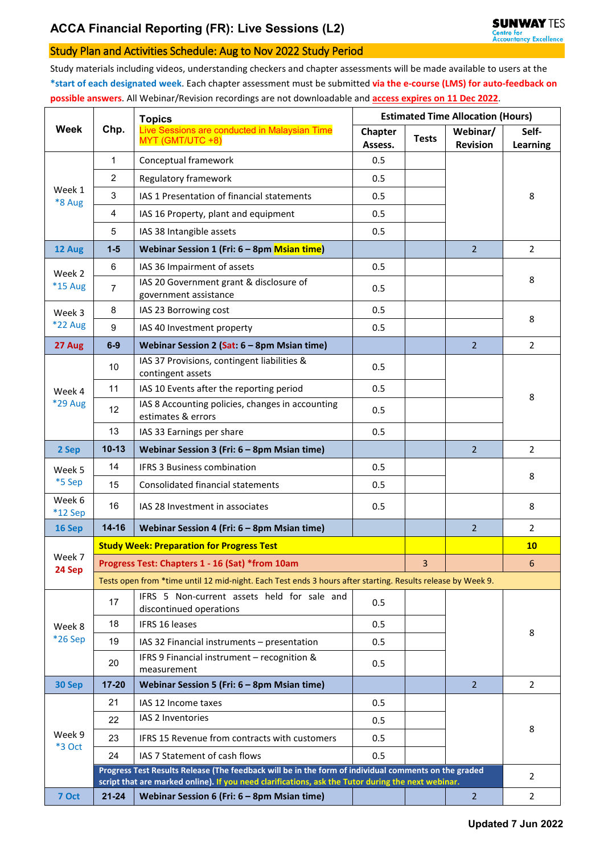## Study Plan and Activities Schedule: Aug to Nov 2022 Study Period

Study materials including videos, understanding checkers and chapter assessments will be made available to users at the **\*start of each designated week**. Each chapter assessment must be submitted **via the e-course (LMS) for auto-feedback on possible answers**. All Webinar/Revision recordings are not downloadable and **access expires on 11 Dec 2022**.

|                     |                                                                                                             | <b>Topics</b>                                                                                                                                                                                              | <b>Estimated Time Allocation (Hours)</b> |              |                             |                          |  |  |  |  |
|---------------------|-------------------------------------------------------------------------------------------------------------|------------------------------------------------------------------------------------------------------------------------------------------------------------------------------------------------------------|------------------------------------------|--------------|-----------------------------|--------------------------|--|--|--|--|
| <b>Week</b>         | Chp.                                                                                                        | Live Sessions are conducted in Malaysian Time<br>MYT (GMT/UTC +8)                                                                                                                                          | Chapter<br>Assess.                       | <b>Tests</b> | Webinar/<br><b>Revision</b> | Self-<br><b>Learning</b> |  |  |  |  |
| Week 1<br>*8 Aug    | $\mathbf{1}$                                                                                                | Conceptual framework                                                                                                                                                                                       | 0.5                                      |              |                             | 8                        |  |  |  |  |
|                     | $\overline{2}$                                                                                              | Regulatory framework                                                                                                                                                                                       | 0.5                                      |              |                             |                          |  |  |  |  |
|                     | 3                                                                                                           | IAS 1 Presentation of financial statements                                                                                                                                                                 | 0.5                                      |              |                             |                          |  |  |  |  |
|                     | 4                                                                                                           | IAS 16 Property, plant and equipment                                                                                                                                                                       | 0.5                                      |              |                             |                          |  |  |  |  |
|                     | 5                                                                                                           | IAS 38 Intangible assets                                                                                                                                                                                   | 0.5                                      |              |                             |                          |  |  |  |  |
| 12 Aug              | $1 - 5$                                                                                                     | Webinar Session 1 (Fri: 6 - 8pm Msian time)                                                                                                                                                                |                                          |              | $\overline{2}$              | 2                        |  |  |  |  |
| Week 2<br>*15 Aug   | 6                                                                                                           | IAS 36 Impairment of assets                                                                                                                                                                                | 0.5                                      |              |                             | 8                        |  |  |  |  |
|                     | 7                                                                                                           | IAS 20 Government grant & disclosure of<br>government assistance                                                                                                                                           | 0.5                                      |              |                             |                          |  |  |  |  |
| Week 3              | 8                                                                                                           | IAS 23 Borrowing cost                                                                                                                                                                                      | 0.5                                      |              |                             | 8                        |  |  |  |  |
| *22 Aug             | 9                                                                                                           | IAS 40 Investment property                                                                                                                                                                                 | 0.5                                      |              |                             |                          |  |  |  |  |
| 27 Aug              | $6-9$                                                                                                       | Webinar Session 2 (Sat: 6 - 8pm Msian time)                                                                                                                                                                |                                          |              | $\overline{2}$              | $\overline{2}$           |  |  |  |  |
|                     | 10                                                                                                          | IAS 37 Provisions, contingent liabilities &<br>contingent assets                                                                                                                                           | 0.5                                      |              |                             | 8                        |  |  |  |  |
| Week 4              | 11                                                                                                          | IAS 10 Events after the reporting period                                                                                                                                                                   | 0.5                                      |              |                             |                          |  |  |  |  |
| <b>*29 Aug</b>      | 12                                                                                                          | IAS 8 Accounting policies, changes in accounting<br>estimates & errors                                                                                                                                     | 0.5                                      |              |                             |                          |  |  |  |  |
|                     | 13                                                                                                          | IAS 33 Earnings per share                                                                                                                                                                                  | 0.5                                      |              |                             |                          |  |  |  |  |
| 2 Sep               | $10 - 13$                                                                                                   | Webinar Session 3 (Fri: 6 - 8pm Msian time)                                                                                                                                                                |                                          |              | $\overline{2}$              | $\overline{2}$           |  |  |  |  |
| Week 5              | 14                                                                                                          | <b>IFRS 3 Business combination</b>                                                                                                                                                                         | 0.5                                      |              |                             | 8                        |  |  |  |  |
| *5 Sep              | 15                                                                                                          | Consolidated financial statements                                                                                                                                                                          | 0.5                                      |              |                             |                          |  |  |  |  |
| Week 6<br>$*12$ Sep | 16                                                                                                          | IAS 28 Investment in associates                                                                                                                                                                            | 0.5                                      |              |                             | 8                        |  |  |  |  |
| 16 Sep              | $14 - 16$                                                                                                   | Webinar Session 4 (Fri: 6 - 8pm Msian time)                                                                                                                                                                |                                          |              | $\overline{2}$              | 2                        |  |  |  |  |
|                     | <b>Study Week: Preparation for Progress Test</b>                                                            |                                                                                                                                                                                                            |                                          |              |                             | 10                       |  |  |  |  |
| Week 7<br>24 Sep    | Progress Test: Chapters 1 - 16 (Sat) *from 10am                                                             |                                                                                                                                                                                                            |                                          |              |                             | 6                        |  |  |  |  |
|                     | Tests open from *time until 12 mid-night. Each Test ends 3 hours after starting. Results release by Week 9. |                                                                                                                                                                                                            |                                          |              |                             |                          |  |  |  |  |
| Week 8<br>*26 Sep   | 17                                                                                                          | IFRS 5 Non-current assets held for sale and<br>discontinued operations                                                                                                                                     | 0.5                                      |              |                             |                          |  |  |  |  |
|                     | 18                                                                                                          | IFRS 16 leases                                                                                                                                                                                             | 0.5                                      |              |                             | 8                        |  |  |  |  |
|                     | 19                                                                                                          | IAS 32 Financial instruments - presentation                                                                                                                                                                | 0.5                                      |              |                             |                          |  |  |  |  |
|                     | 20                                                                                                          | IFRS 9 Financial instrument - recognition &<br>measurement                                                                                                                                                 | 0.5                                      |              |                             |                          |  |  |  |  |
| 30 Sep              | $17 - 20$                                                                                                   | Webinar Session 5 (Fri: 6 - 8pm Msian time)                                                                                                                                                                |                                          |              | $\overline{2}$              | $\overline{2}$           |  |  |  |  |
|                     | 21                                                                                                          | IAS 12 Income taxes                                                                                                                                                                                        | 0.5                                      |              |                             | 8                        |  |  |  |  |
| Week 9<br>*3 Oct    | 22                                                                                                          | IAS 2 Inventories                                                                                                                                                                                          | 0.5                                      |              |                             |                          |  |  |  |  |
|                     | 23                                                                                                          | IFRS 15 Revenue from contracts with customers                                                                                                                                                              | 0.5                                      |              |                             |                          |  |  |  |  |
|                     | 24                                                                                                          | IAS 7 Statement of cash flows                                                                                                                                                                              | 0.5                                      |              |                             |                          |  |  |  |  |
|                     |                                                                                                             | Progress Test Results Release (The feedback will be in the form of individual comments on the graded<br>script that are marked online). If you need clarifications, ask the Tutor during the next webinar. |                                          |              |                             | 2                        |  |  |  |  |
| 7 Oct               | $21 - 24$                                                                                                   | Webinar Session 6 (Fri: 6 - 8pm Msian time)                                                                                                                                                                |                                          |              | $\overline{2}$              | $\overline{2}$           |  |  |  |  |